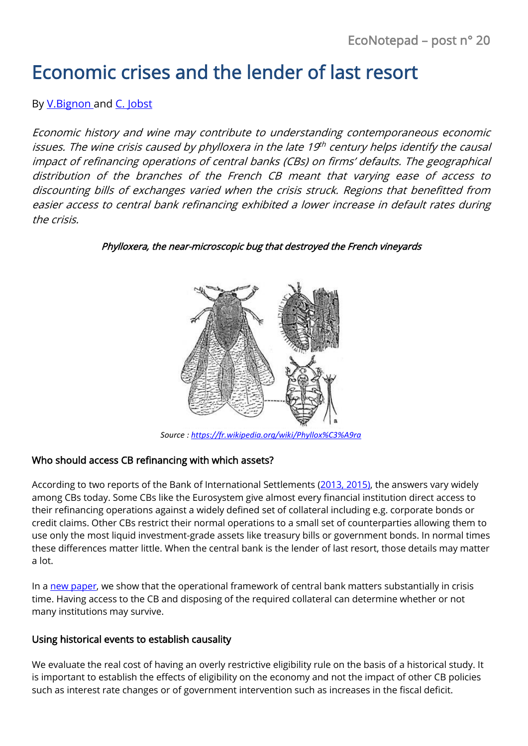# Economic crises and the lender of last resort

### By [V.Bignon](https://www.banque-france.fr/en/economics/economists-and-researchers/vincent-bignon) and [C. Jobst](https://www.oenb.at/en/Monetary-Policy/Research/Researchers/Clemens-Jobst.html)

Economic history and wine may contribute to understanding contemporaneous economic issues. The wine crisis caused by phylloxera in the late 19 $^{\rm th}$  century helps identify the causal impact of refinancing operations of central banks (CBs) on firms' defaults. The geographical distribution of the branches of the French CB meant that varying ease of access to discounting bills of exchanges varied when the crisis struck. Regions that benefitted from easier access to central bank refinancing exhibited a lower increase in default rates during the crisis.

#### Phylloxera, the near-microscopic bug that destroyed the French vineyards



*Source [: https://fr.wikipedia.org/wiki/Phyllox%C3%A9ra](https://fr.wikipedia.org/wiki/Phyllox%C3%A9ra)*

#### Who should access CB refinancing with which assets?

According to two reports of the Bank of International Settlements [\(2013,](http://www.bis.org/publ/mktc06.htm) [2015\)](http://www.bis.org/publ/cgfs53.pdf), the answers vary widely among CBs today. Some CBs like the Eurosystem give almost every financial institution direct access to their refinancing operations against a widely defined set of collateral including e.g. corporate bonds or credit claims. Other CBs restrict their normal operations to a small set of counterparties allowing them to use only the most liquid investment-grade assets like treasury bills or government bonds. In normal times these differences matter little. When the central bank is the lender of last resort, those details may matter a lot.

In [a new paper,](https://publications.banque-france.fr/en/economic-crises-and-eligibility-lender-last-resort-evidence-19th-century-france) we show that the operational framework of central bank matters substantially in crisis time. Having access to the CB and disposing of the required collateral can determine whether or not many institutions may survive.

#### Using historical events to establish causality

We evaluate the real cost of having an overly restrictive eligibility rule on the basis of a historical study. It is important to establish the effects of eligibility on the economy and not the impact of other CB policies such as interest rate changes or of government intervention such as increases in the fiscal deficit.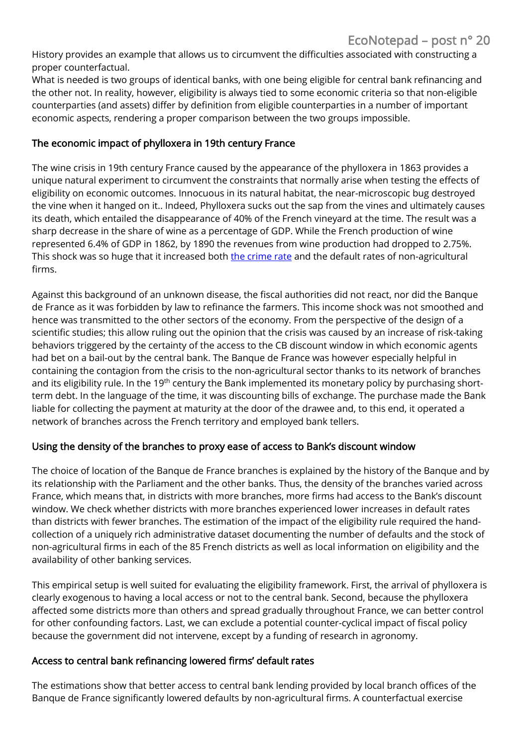History provides an example that allows us to circumvent the difficulties associated with constructing a proper counterfactual.

What is needed is two groups of identical banks, with one being eligible for central bank refinancing and the other not. In reality, however, eligibility is always tied to some economic criteria so that non-eligible counterparties (and assets) differ by definition from eligible counterparties in a number of important economic aspects, rendering a proper comparison between the two groups impossible.

#### The economic impact of phylloxera in 19th century France

The wine crisis in 19th century France caused by the appearance of the phylloxera in 1863 provides a unique natural experiment to circumvent the constraints that normally arise when testing the effects of eligibility on economic outcomes. Innocuous in its natural habitat, the near-microscopic bug destroyed the vine when it hanged on it.. Indeed, Phylloxera sucks out the sap from the vines and ultimately causes its death, which entailed the disappearance of 40% of the French vineyard at the time. The result was a sharp decrease in the share of wine as a percentage of GDP. While the French production of wine represented 6.4% of GDP in 1862, by 1890 the revenues from wine production had dropped to 2.75%. This shock was so huge that it increased both [the crime rate](http://onlinelibrary.wiley.com/doi/10.1111/ecoj.12270/abstract) and the default rates of non-agricultural firms.

Against this background of an unknown disease, the fiscal authorities did not react, nor did the Banque de France as it was forbidden by law to refinance the farmers. This income shock was not smoothed and hence was transmitted to the other sectors of the economy. From the perspective of the design of a scientific studies; this allow ruling out the opinion that the crisis was caused by an increase of risk-taking behaviors triggered by the certainty of the access to the CB discount window in which economic agents had bet on a bail-out by the central bank. The Banque de France was however especially helpful in containing the contagion from the crisis to the non-agricultural sector thanks to its network of branches and its eligibility rule. In the 19<sup>th</sup> century the Bank implemented its monetary policy by purchasing shortterm debt. In the language of the time, it was discounting bills of exchange. The purchase made the Bank liable for collecting the payment at maturity at the door of the drawee and, to this end, it operated a network of branches across the French territory and employed bank tellers.

#### Using the density of the branches to proxy ease of access to Bank's discount window

The choice of location of the Banque de France branches is explained by the history of the Banque and by its relationship with the Parliament and the other banks. Thus, the density of the branches varied across France, which means that, in districts with more branches, more firms had access to the Bank's discount window. We check whether districts with more branches experienced lower increases in default rates than districts with fewer branches. The estimation of the impact of the eligibility rule required the handcollection of a uniquely rich administrative dataset documenting the number of defaults and the stock of non-agricultural firms in each of the 85 French districts as well as local information on eligibility and the availability of other banking services.

This empirical setup is well suited for evaluating the eligibility framework. First, the arrival of phylloxera is clearly exogenous to having a local access or not to the central bank. Second, because the phylloxera affected some districts more than others and spread gradually throughout France, we can better control for other confounding factors. Last, we can exclude a potential counter-cyclical impact of fiscal policy because the government did not intervene, except by a funding of research in agronomy.

#### Access to central bank refinancing lowered firms' default rates

The estimations show that better access to central bank lending provided by local branch offices of the Banque de France significantly lowered defaults by non-agricultural firms. A counterfactual exercise